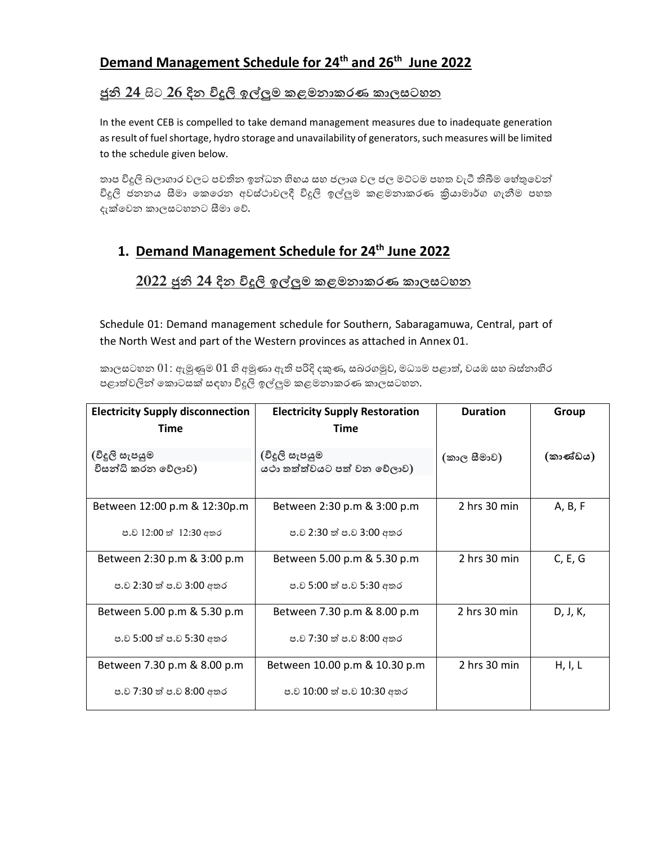## **Demand Management Schedule for 24th and 26th June 2022**

#### <u>ජුනි 24 සිට 26 දින විදුලි ඉල්ලුම කළමනාකරණ කාලසටහන </u>

In the event CEB is compelled to take demand management measures due to inadequate generation as result of fuel shortage, hydro storage and unavailability of generators, such measures will be limited to the schedule given below.

තාප විදුලි බලාගාර වලට පවතින ඉන්ධන හිහය සහ ජලාශ වල ජල මට්ටම පහත වැටී තිබීම හේතුවෙන් විදුලි ජනනය සීමා කෙරෙන අවස්ථාවලදී විදුලි ඉල්ලුම කළමනාකරණ කියාමාර්ග ගැනීම පහත දැක්වෙන කාලසටහනට සීමා වේ.

#### **1. Demand Management Schedule for 24th June 2022**

#### <u>2022 ජුනි 24 දින විදුලි ඉල්ලුම කළමනාකරණ කාලසටහන </u>

Schedule 01: Demand management schedule for Southern, Sabaragamuwa, Central, part of the North West and part of the Western provinces as attached in Annex 01.

කාලසටහන  $01$ : ඇමුණුම  $01$  හි අමුණා ඇති පරිදි දකුණ, සබරගමුව, මධාාම පළාත්, වයඹ සහ බස්නාහිර පළාත්වලින් කොටසක් සඳහා විදුලි ඉල්ලුම කළමනාකරණ කාලසටහන.

| <b>Electricity Supply disconnection</b><br>Time         | <b>Electricity Supply Restoration</b><br>Time               | <b>Duration</b>  | Group    |
|---------------------------------------------------------|-------------------------------------------------------------|------------------|----------|
| (විදූලි සැපයුම<br>විසන්ධි කරන වේලාව)                    | (විදූලි සැපයුම<br>යථා තත්ත්වයට පත් වන වේලාව)                | (කාල සීමාව)      | (කාණ්ඩය) |
| Between 12:00 p.m & 12:30p.m<br>ප.ව 12:00 ත් 12:30 අතර  | Between 2:30 p.m & 3:00 p.m<br>ප.ව 2:30 ත් ප.ව 3:00 අතර     | $2$ hrs $30$ min | A, B, F  |
| Between 2:30 p.m & 3:00 p.m<br>ප.ව 2:30 ත් ප.ව 3:00 අතර | Between 5.00 p.m & 5.30 p.m<br>ප.ව 5:00 ත් ප.ව 5:30 අතර     | 2 hrs 30 min     | C, E, G  |
| Between 5.00 p.m & 5.30 p.m<br>ප.ව 5:00 ත් ප.ව 5:30 අතර | Between 7.30 p.m & 8.00 p.m<br>ප.ව 7:30 ත් ප.ව 8:00 අතර     | 2 hrs 30 min     | D, J, K, |
| Between 7.30 p.m & 8.00 p.m<br>ප.ව 7:30 ත් ප.ව 8:00 අතර | Between 10.00 p.m & 10.30 p.m<br>ප.ව 10:00 ත් ප.ව 10:30 අතර | 2 hrs 30 min     | H, I, L  |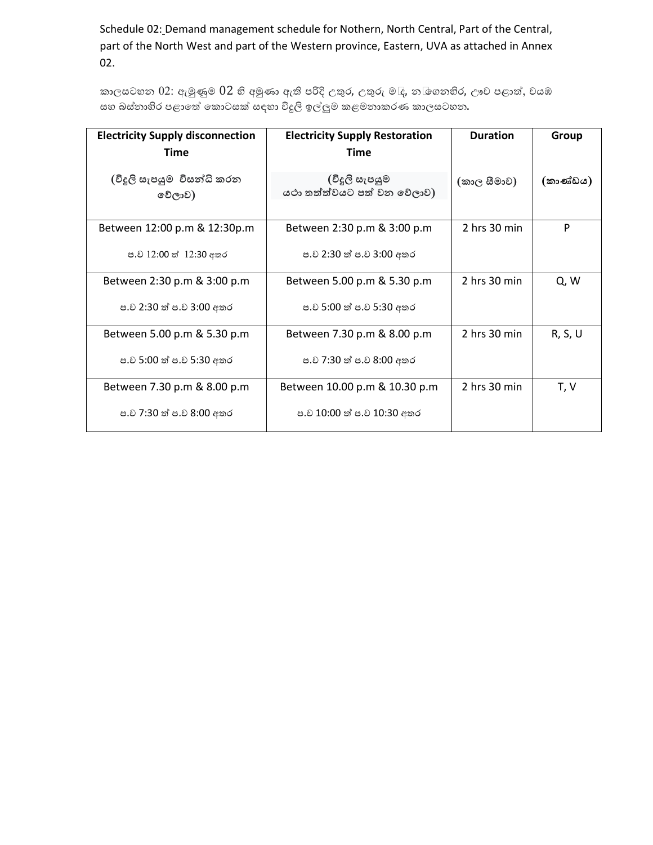Schedule 02: Demand management schedule for Nothern, North Central, Part of the Central, part of the North West and part of the Western province, Eastern, UVA as attached in Annex 02.

කාලසටහන  $02$ : ඇමුණුම  $02$  හි අමුණා ඇති පරිදි උතුර, උතුරු ම $\bar{c}$ , න $\bar{\phi}$ ගනහිර, ඌව පළාත්, වයඹ සහ බස්නාහිර පළාතේ කොටසක් සඳහා විදුලි ඉල්ලුම කළමනාකරණ කාලසටහන.

| <b>Electricity Supply disconnection</b><br>Time | <b>Electricity Supply Restoration</b><br>Time | <b>Duration</b>  | Group    |
|-------------------------------------------------|-----------------------------------------------|------------------|----------|
| (විදූලි සැපයුම විසන්ධි කරන<br>වේලාව)            | (විදූලි සැපයුම<br>යථා තත්ත්වයට පත් වන වේලාව)  | (කාල සීමාව)      | (කාණ්ඩය) |
| Between 12:00 p.m & 12:30p.m                    | Between 2:30 p.m & 3:00 p.m                   | 2 hrs 30 min     | P        |
| ප.ව 12:00 ත් 12:30 අතර                          | ප.ව 2:30 ත් ප.ව 3:00 අතර                      |                  |          |
| Between 2:30 p.m & 3:00 p.m                     | Between 5.00 p.m & 5.30 p.m                   | $2$ hrs $30$ min | Q, W     |
| ප.ව 2:30 ත් ප.ව 3:00 අතර                        | ප.ව 5:00 ත් ප.ව 5:30 අතර                      |                  |          |
| Between 5.00 p.m & 5.30 p.m                     | Between 7.30 p.m & 8.00 p.m                   | $2$ hrs $30$ min | R, S, U  |
| ප.ව 5:00 ත් ප.ව 5:30 අතර                        | ප.ව 7:30 ත් ප.ව 8:00 අතර                      |                  |          |
| Between 7.30 p.m & 8.00 p.m                     | Between 10.00 p.m & 10.30 p.m                 | $2$ hrs $30$ min | T, V     |
| ප.ව 7:30 ත් ප.ව 8:00 අතර                        | ප.ව 10:00 ත් ප.ව 10:30 අතර                    |                  |          |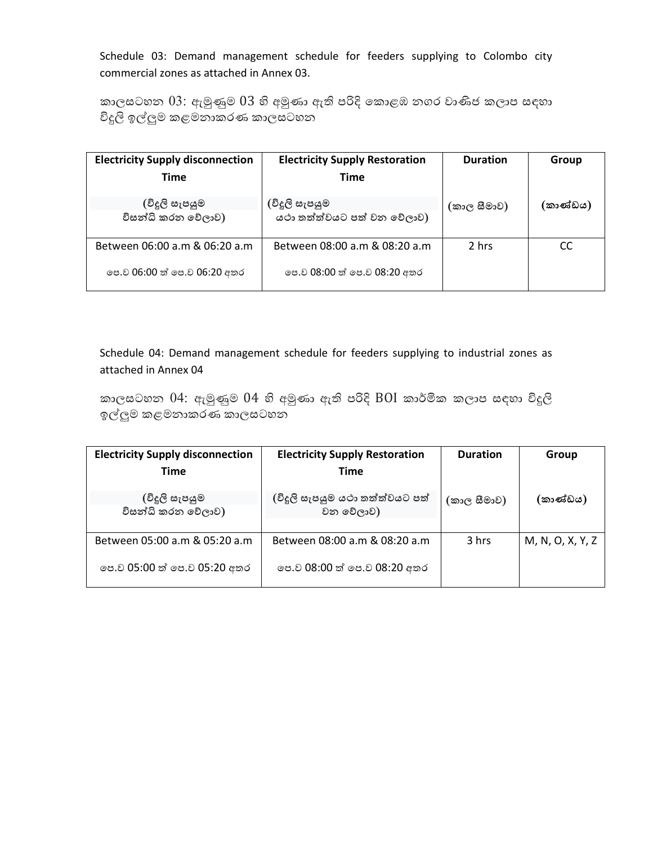Schedule 03: Demand management schedule for feeders supplying to Colombo city commercial zones as attached in Annex 03.

කාලසටහන  $03$ : ඇමුණුම  $03$  හි අමුණා ඇති පරිදි කොළඹ නගර වාණිජ කලාප සඳහා විදුලි ඉල්ලුම කළමනාකරණ කාලසටහන

| <b>Electricity Supply disconnection</b> | <b>Electricity Supply Restoration</b> | <b>Duration</b> | Group    |
|-----------------------------------------|---------------------------------------|-----------------|----------|
| Time                                    | <b>Time</b>                           |                 |          |
| (විදූලි සැපයුම                          | (විදූලි සැපයුම                        | (කාල සීමාව)     | (කාණ්ඩය) |
| විසන්ධි කරන වේලාව)                      | යථා තත්ත්වයට පත් වන වේලාව)            |                 |          |
| Between 06:00 a.m & 06:20 a.m           | Between 08:00 a.m & 08:20 a.m         | 2 hrs           | CC       |
| පෙ.ව 06:00 ත් පෙ.ව 06:20 අතර            | පෙ.ව 08:00 ත් පෙ.ව 08:20 අතර          |                 |          |

Schedule 04: Demand management schedule for feeders supplying to industrial zones as attached in Annex 04

කාලසටහන  $04$ : ඇමුණුම  $04$  හි අමුණා ඇති පරිදි  $B0I$  කාර්මික කලාප සඳහා විදුලි ඉල්ලුම කළමනාකරණ කාලසටහන

| <b>Electricity Supply disconnection</b> | <b>Electricity Supply Restoration</b> | <b>Duration</b> | Group            |
|-----------------------------------------|---------------------------------------|-----------------|------------------|
| <b>Time</b>                             | <b>Time</b>                           |                 |                  |
| ©දුලි සැපයුම                            | (විදුලි සැපයුම යථා තත්ත්වයට පත්       | (කාල සීමාව)     | (කාණ්ඩය)         |
| විසන්ධි කරන වේලාව)                      | වන වේලාව)                             |                 |                  |
|                                         |                                       |                 |                  |
| Between 05:00 a.m & 05:20 a.m           | Between 08:00 a.m & 08:20 a.m         | 3 hrs           | M, N, O, X, Y, Z |
| පෙ.ව 05:00 ත් පෙ.ව 05:20 අතර            | පෙ.ව 08:00 ත් පෙ.ව 08:20 අතර          |                 |                  |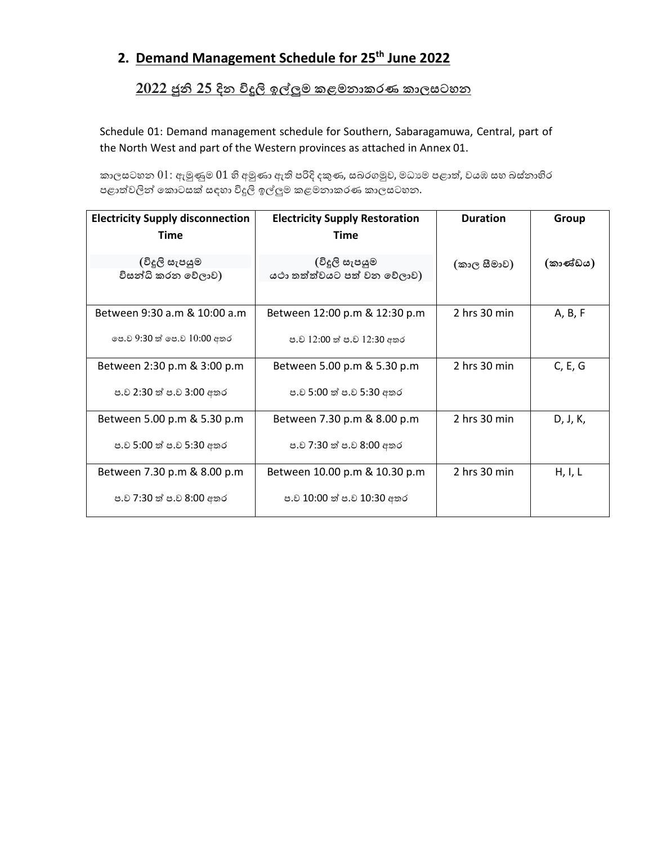# **2. Demand Management Schedule for 25th June 2022**

### <u>2022 ජුනි 25 දින විදුලි ඉල්ලුම කළමනාකරණ කාලසටහන </u>

Schedule 01: Demand management schedule for Southern, Sabaragamuwa, Central, part of the North West and part of the Western provinces as attached in Annex 01.

කාලසටහන  $01$ : ඇමුණුම  $01$  හි අමුණා ඇති පරිදි දකුණ, සබරගමුව, මධාාම පළාත්, වයඹ සහ බස්නාහිර පළාත්වලින් කොටසක් සඳහා විදුලි ඉල්ලුම කළමනාකරණ කාලසටහන.

| <b>Electricity Supply disconnection</b><br>Time             | <b>Electricity Supply Restoration</b><br>Time               | <b>Duration</b>  | Group    |
|-------------------------------------------------------------|-------------------------------------------------------------|------------------|----------|
| (විදූලි සැපයුම<br>විසන්ධි කරන වේලාව)                        | (විදූලි සැපයුම<br>යථා තත්ත්වයට පත් වන වේලාව)                | (කාල සීමාව)      | (කාණ්ඩය) |
| Between 9:30 a.m & 10:00 a.m<br>පෙ.ව 9:30 ත් පෙ.ව 10:00 අතර | Between 12:00 p.m & 12:30 p.m<br>ප.ව 12:00 ත් ප.ව 12:30 අතර | 2 hrs 30 min     | A, B, F  |
| Between 2:30 p.m & 3:00 p.m<br>ප.ව 2:30 ත් ප.ව 3:00 අතර     | Between 5.00 p.m & 5.30 p.m<br>ප.ව 5:00 ත් ප.ව 5:30 අතර     | $2$ hrs $30$ min | C, E, G  |
| Between 5.00 p.m & 5.30 p.m<br>ප.ව 5:00 ත් ප.ව 5:30 අතර     | Between 7.30 p.m & 8.00 p.m<br>ප.ව 7:30 ත් ප.ව 8:00 අතර     | 2 hrs 30 min     | D, J, K, |
| Between 7.30 p.m & 8.00 p.m<br>ප.ව 7:30 ත් ප.ව 8:00 අතර     | Between 10.00 p.m & 10.30 p.m<br>ප.ව 10:00 ත් ප.ව 10:30 අතර | 2 hrs 30 min     | H, I, L  |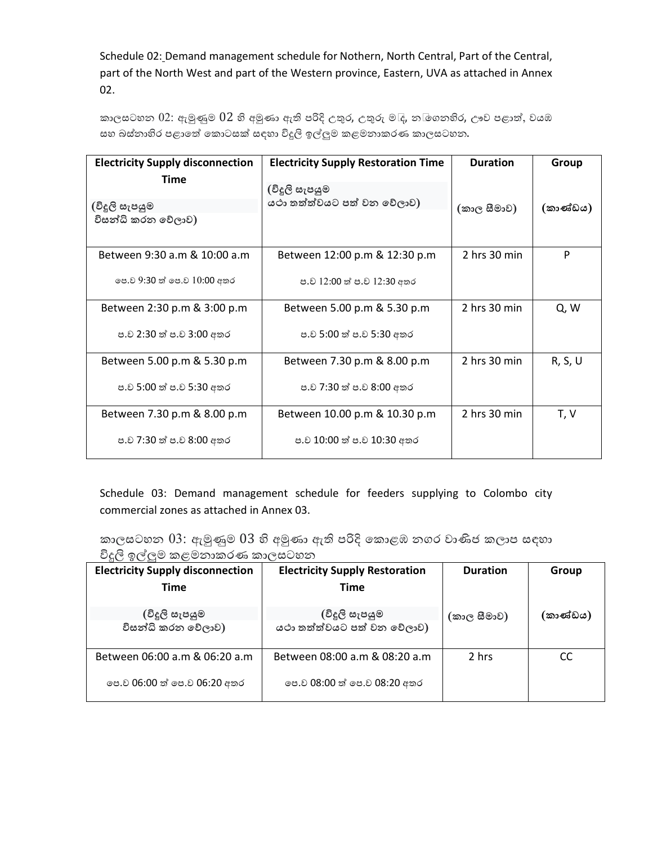Schedule 02: Demand management schedule for Nothern, North Central, Part of the Central, part of the North West and part of the Western province, Eastern, UVA as attached in Annex 02.

කාලසටහන  $02$ : ඇමුණුම  $02$  හි අමුණා ඇති පරිදි උතුර, උතුරු ම $\mathbb{I}_{\mathsf{f}}$ , න $\mathbb{I}$ ගනහිර, ඌව පළාත්, වයඹ සහ බස්නාහිර පළාතේ කොටසක් සඳහා විදුලි ඉල්ලුම කළමනාකරණ කාලසටහන.

| <b>Electricity Supply disconnection</b> | <b>Electricity Supply Restoration Time</b> | <b>Duration</b>  | Group    |
|-----------------------------------------|--------------------------------------------|------------------|----------|
| <b>Time</b>                             | (විදූලි සැපයුම                             |                  |          |
| (විදූලි සැපයුම                          | යථා තත්ත්වයට පත් වන වේලාව)                 | (කාල සීමාව)      | (කාණ්ඩය) |
| විසන්ධි කරන වේලාව)                      |                                            |                  |          |
| Between 9:30 a.m & 10:00 a.m            | Between 12:00 p.m & 12:30 p.m              | 2 hrs 30 min     | P        |
| පෙ.ව 9:30 ත් පෙ.ව 10:00 අතර             | ප.ව 12:00 ත් ප.ව 12:30 අතර                 |                  |          |
| Between 2:30 p.m & 3:00 p.m             | Between 5.00 p.m & 5.30 p.m                | $2$ hrs $30$ min | Q, W     |
| ප.ව 2:30 ත් ප.ව 3:00 අතර                | ප.ව 5:00 ත් ප.ව 5:30 අතර                   |                  |          |
| Between 5.00 p.m & 5.30 p.m             | Between 7.30 p.m & 8.00 p.m                | $2$ hrs $30$ min | R, S, U  |
| ප.ව 5:00 ත් ප.ව 5:30 අතර                | ප.ව 7:30 ත් ප.ව 8:00 අතර                   |                  |          |
| Between 7.30 p.m & 8.00 p.m             | Between 10.00 p.m & 10.30 p.m              | $2$ hrs $30$ min | T, V     |
| ප.ව 7:30 ත් ප.ව 8:00 අතර                | ප.ව 10:00 ත් ප.ව 10:30 අතර                 |                  |          |

Schedule 03: Demand management schedule for feeders supplying to Colombo city commercial zones as attached in Annex 03.

කාලසටහන  $03$ : ඇමුණුම  $03$  හි අමුණා ඇති පරිදි කොළඹ නගර වාණිජ කලාප සඳහා විදුලි ඉල්ලුම කළමනාකරණ කාලසටහන

| <b>Electricity Supply disconnection</b> | <b>Electricity Supply Restoration</b> | <b>Duration</b> | Group    |
|-----------------------------------------|---------------------------------------|-----------------|----------|
| Time                                    | Time                                  |                 |          |
| (විදූලි සැපයුම                          | (විදූලි සැපයුම                        | (කාල සීමාව)     | (කාණ්ඩය) |
| විසන්ධි කරන වේලාව)                      | යථා තත්ත්වයට පත් වන වේලාව)            |                 |          |
| Between 06:00 a.m & 06:20 a.m           | Between 08:00 a.m & 08:20 a.m         | 2 hrs           | CC       |
| පෙ.ව 06:00 ත් පෙ.ව 06:20 අතර            | පෙ.ව 08:00 ත් පෙ.ව 08:20 අතර          |                 |          |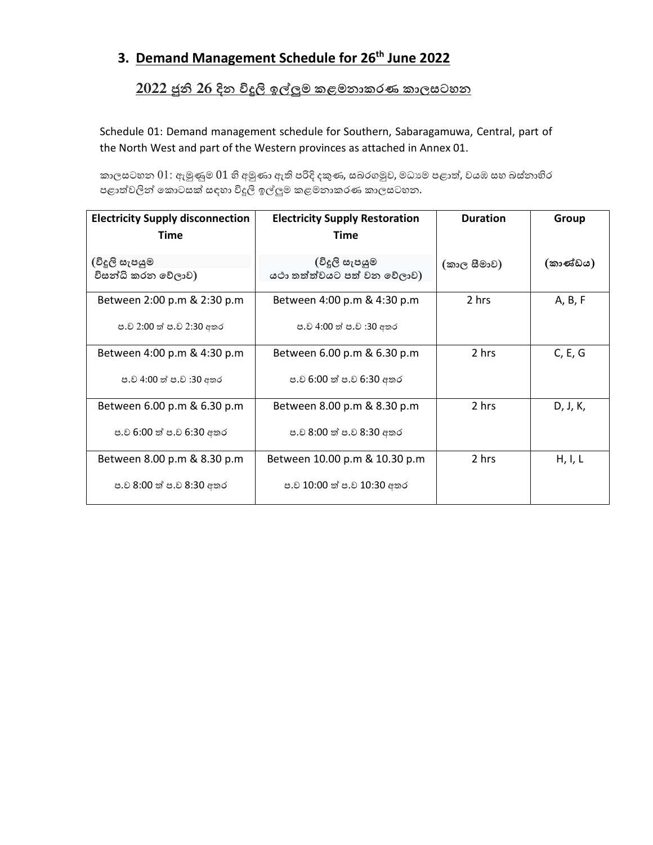# **3. Demand Management Schedule for 26th June 2022**

### <u>2022 ජුනි 26 දින විදුලි ඉල්ලුම කළමනාකරණ කාලසටහන </u>

Schedule 01: Demand management schedule for Southern, Sabaragamuwa, Central, part of the North West and part of the Western provinces as attached in Annex 01.

කාලසටහන  $01$ : ඇමුණුම  $01$  හි අමුණා ඇති පරිදි දකුණ, සබරගමුව, මධාාම පළාත්, වයඹ සහ බස්නාහිර පළාත්වලින් කොටසක් සඳහා විදුලි ඉල්ලුම කළමනාකරණ කාලසටහන.

| <b>Electricity Supply disconnection</b><br>Time         | <b>Electricity Supply Restoration</b><br>Time               | <b>Duration</b> | Group    |
|---------------------------------------------------------|-------------------------------------------------------------|-----------------|----------|
| (විදූලි සැපයුම<br>විසන්ධි කරන වේලාව)                    | (විදූලි සැපයුම<br>යථා තත්ත්වයට පත් වන වේලාව)                | (කාල සීමාව)     | (කාණ්ඩය) |
| Between 2:00 p.m & 2:30 p.m<br>ප.ව 2:00 ත් ප.ව 2:30 අතර | Between 4:00 p.m & 4:30 p.m<br>ප.ව 4:00 ත් ප.ව :30 අතර      | 2 hrs           | A, B, F  |
| Between 4:00 p.m & 4:30 p.m<br>ප.ව 4:00 ත් ප.ව :30 අතර  | Between 6.00 p.m & 6.30 p.m<br>ප.ව 6:00 ත් ප.ව 6:30 අතර     | 2 hrs           | C, E, G  |
| Between 6.00 p.m & 6.30 p.m<br>ප.ව 6:00 ත් ප.ව 6:30 අතර | Between 8.00 p.m & 8.30 p.m<br>ප.ව 8:00 ත් ප.ව 8:30 අතර     | 2 hrs           | D, J, K, |
| Between 8.00 p.m & 8.30 p.m<br>ප.ව 8:00 ත් ප.ව 8:30 අතර | Between 10.00 p.m & 10.30 p.m<br>ප.ව 10:00 ත් ප.ව 10:30 අතර | 2 hrs           | H, I, L  |